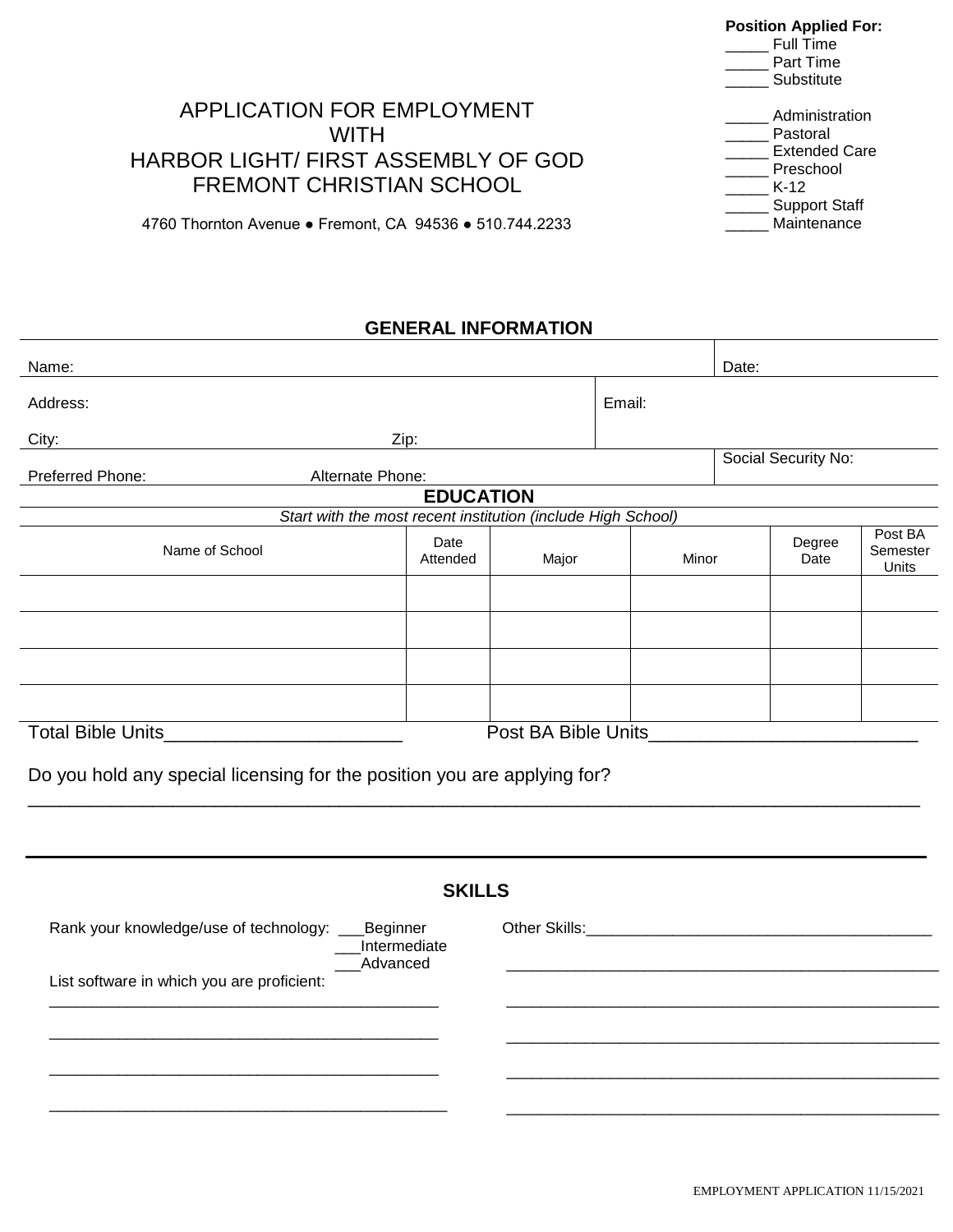#### **Position Applied For:**

\_\_\_\_\_ Administration

\_ Support Staff \_\_\_\_\_ Maintenance

 $\_$  Full  $\overline{\text{Time}}$ Part Time

\_\_\_\_\_ Substitute

\_\_\_\_\_ Pastoral Extended Care \_\_\_\_\_ Preschool  $\_$  K-12

Τ

# APPLICATION FOR EMPLOYMENT **WITH** HARBOR LIGHT/ FIRST ASSEMBLY OF GOD FREMONT CHRISTIAN SCHOOL

4760 Thornton Avenue ● Fremont, CA 94536 ● 510.744.2233

### **GENERAL INFORMATION**

| Name:                                                                            |                  |                     |        | Date:                                   |                              |
|----------------------------------------------------------------------------------|------------------|---------------------|--------|-----------------------------------------|------------------------------|
| Address:                                                                         |                  |                     | Email: |                                         |                              |
| City:<br><u> 1980 - Johann Barbara, martin a</u>                                 | Zip:             |                     |        |                                         |                              |
| Preferred Phone:<br>Alternate Phone:                                             |                  |                     |        | Social Security No:                     |                              |
|                                                                                  | <b>EDUCATION</b> |                     |        |                                         |                              |
| Start with the most recent institution (include High School)                     |                  |                     |        |                                         |                              |
| Name of School                                                                   | Date<br>Attended | Major               | Minor  | Degree<br>Date                          | Post BA<br>Semester<br>Units |
|                                                                                  |                  |                     |        |                                         |                              |
|                                                                                  |                  |                     |        |                                         |                              |
|                                                                                  |                  |                     |        |                                         |                              |
|                                                                                  |                  |                     |        |                                         |                              |
| Total Bible Units____________________________                                    |                  | Post BA Bible Units |        |                                         |                              |
| Do you hold any special licensing for the position you are applying for?         |                  |                     |        |                                         |                              |
|                                                                                  |                  |                     |        |                                         |                              |
| <b>SKILLS</b>                                                                    |                  |                     |        |                                         |                              |
| Rank your knowledge/use of technology: _<br>Beginner<br>Intermediate<br>Advanced |                  |                     |        | Other Skills: Management of the Skills: |                              |
| List software in which you are proficient:                                       |                  |                     |        |                                         |                              |
|                                                                                  |                  |                     |        |                                         |                              |
|                                                                                  |                  |                     |        |                                         |                              |
|                                                                                  |                  |                     |        |                                         |                              |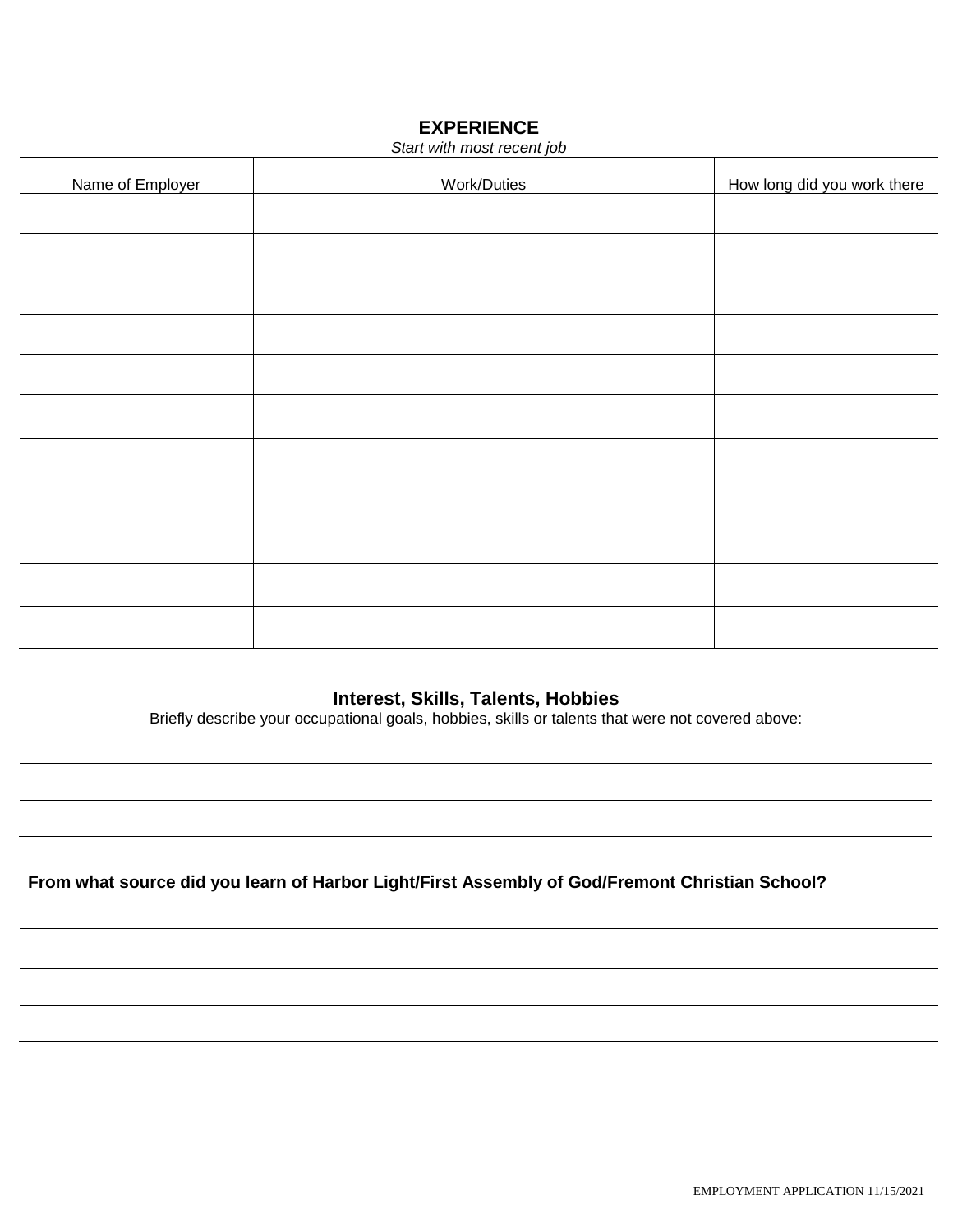## **EXPERIENCE**

| Start with most recent job |             |                             |  |
|----------------------------|-------------|-----------------------------|--|
| Name of Employer           | Work/Duties | How long did you work there |  |
|                            |             |                             |  |
|                            |             |                             |  |
|                            |             |                             |  |
|                            |             |                             |  |
|                            |             |                             |  |
|                            |             |                             |  |
|                            |             |                             |  |
|                            |             |                             |  |
|                            |             |                             |  |
|                            |             |                             |  |
|                            |             |                             |  |
|                            |             |                             |  |

## **Interest, Skills, Talents, Hobbies**

Briefly describe your occupational goals, hobbies, skills or talents that were not covered above:

**From what source did you learn of Harbor Light/First Assembly of God/Fremont Christian School?**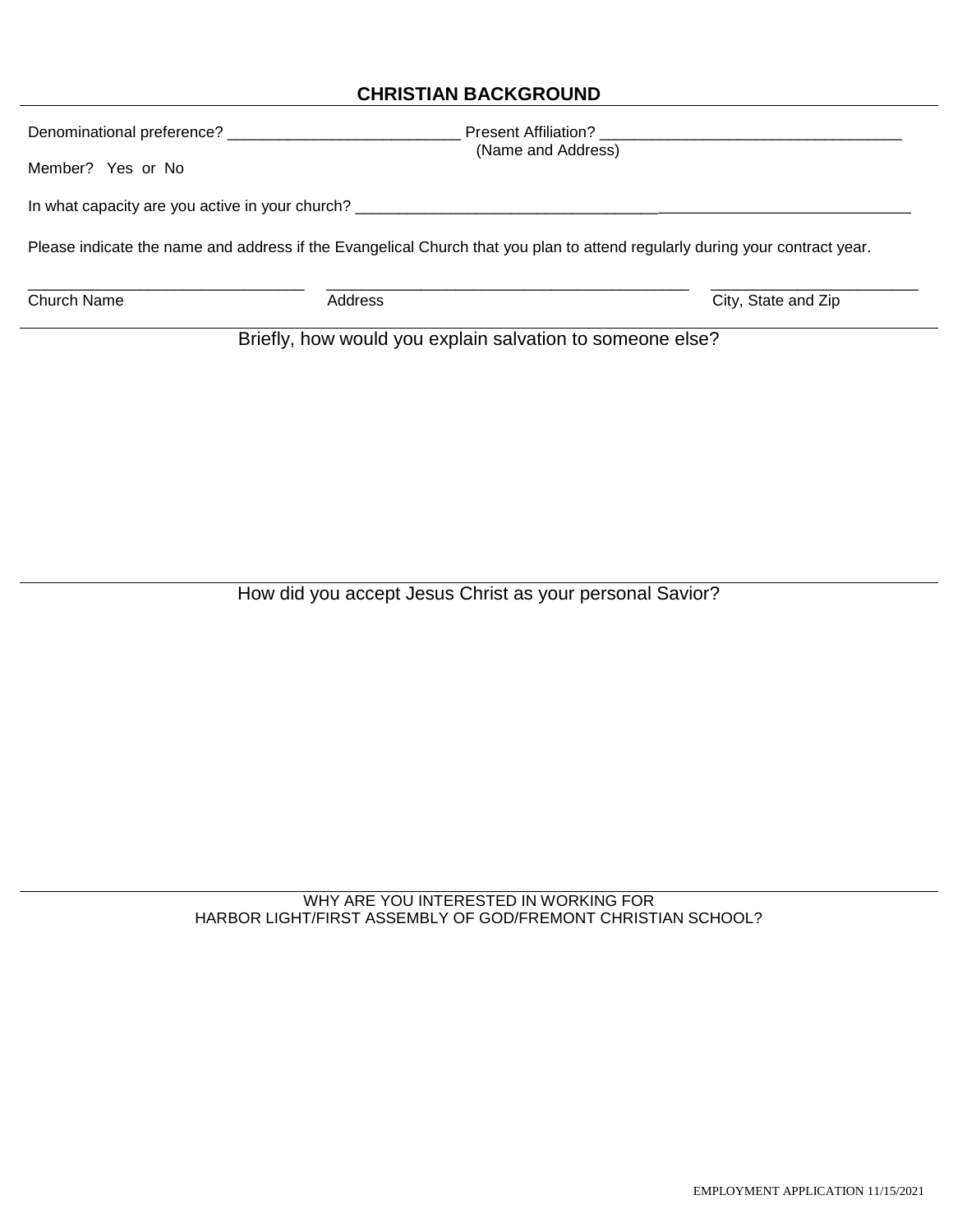## **CHRISTIAN BACKGROUND**

| Denominational preference? __________                                                                                       | <b>Present Affiliation?</b>                              |                     |  |  |
|-----------------------------------------------------------------------------------------------------------------------------|----------------------------------------------------------|---------------------|--|--|
| Member? Yes or No                                                                                                           | (Name and Address)                                       |                     |  |  |
| In what capacity are you active in your church?                                                                             |                                                          |                     |  |  |
| Please indicate the name and address if the Evangelical Church that you plan to attend regularly during your contract year. |                                                          |                     |  |  |
| Church Name                                                                                                                 | Address                                                  | City, State and Zip |  |  |
|                                                                                                                             | Rriefly how would you explain salvation to someone else? |                     |  |  |

Briefly, how would you explain salvation to someone else?

How did you accept Jesus Christ as your personal Savior?

WHY ARE YOU INTERESTED IN WORKING FOR HARBOR LIGHT/FIRST ASSEMBLY OF GOD/FREMONT CHRISTIAN SCHOOL?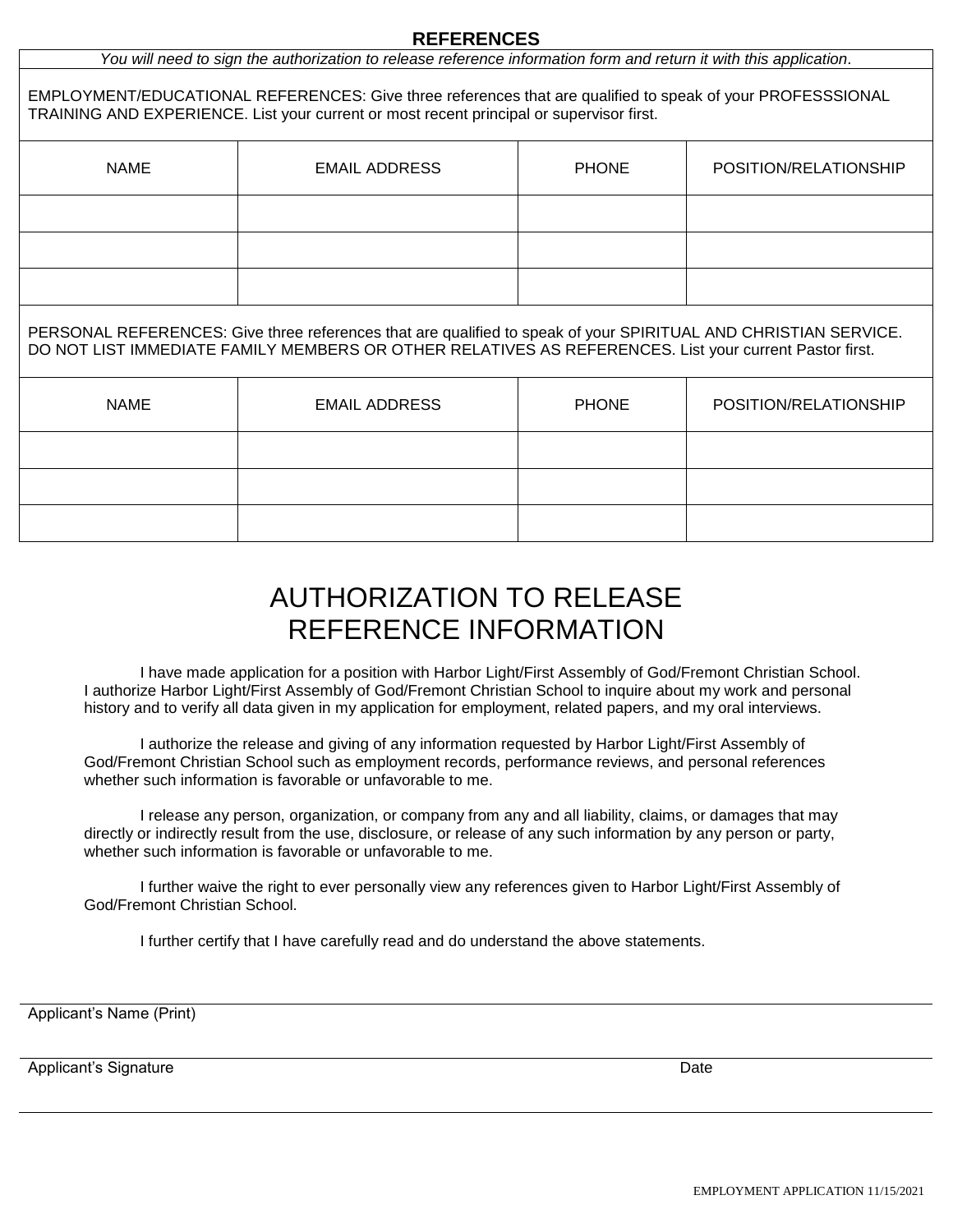#### **REFERENCES**

*You will need to sign the authorization to release reference information form and return it with this application.*

EMPLOYMENT/EDUCATIONAL REFERENCES: Give three references that are qualified to speak of your PROFESSSIONAL TRAINING AND EXPERIENCE. List your current or most recent principal or supervisor first.

| <b>NAME</b> | <b>EMAIL ADDRESS</b> | <b>PHONE</b> | POSITION/RELATIONSHIP |
|-------------|----------------------|--------------|-----------------------|
|             |                      |              |                       |
|             |                      |              |                       |
|             |                      |              |                       |

PERSONAL REFERENCES: Give three references that are qualified to speak of your SPIRITUAL AND CHRISTIAN SERVICE. DO NOT LIST IMMEDIATE FAMILY MEMBERS OR OTHER RELATIVES AS REFERENCES. List your current Pastor first.

| <b>NAME</b> | <b>EMAIL ADDRESS</b> | <b>PHONE</b> | POSITION/RELATIONSHIP |
|-------------|----------------------|--------------|-----------------------|
|             |                      |              |                       |
|             |                      |              |                       |
|             |                      |              |                       |

# AUTHORIZATION TO RELEASE REFERENCE INFORMATION

I have made application for a position with Harbor Light/First Assembly of God/Fremont Christian School. I authorize Harbor Light/First Assembly of God/Fremont Christian School to inquire about my work and personal history and to verify all data given in my application for employment, related papers, and my oral interviews.

I authorize the release and giving of any information requested by Harbor Light/First Assembly of God/Fremont Christian School such as employment records, performance reviews, and personal references whether such information is favorable or unfavorable to me.

I release any person, organization, or company from any and all liability, claims, or damages that may directly or indirectly result from the use, disclosure, or release of any such information by any person or party, whether such information is favorable or unfavorable to me.

I further waive the right to ever personally view any references given to Harbor Light/First Assembly of God/Fremont Christian School.

I further certify that I have carefully read and do understand the above statements.

Applicant's Name (Print)

Applicant's Signature Date Date of the Date of the Date Date of the Date Date Date of the Date of the Date of the Date of the Date of the Date of the Date of the Date of the Date of the Date of the Date of the Date of the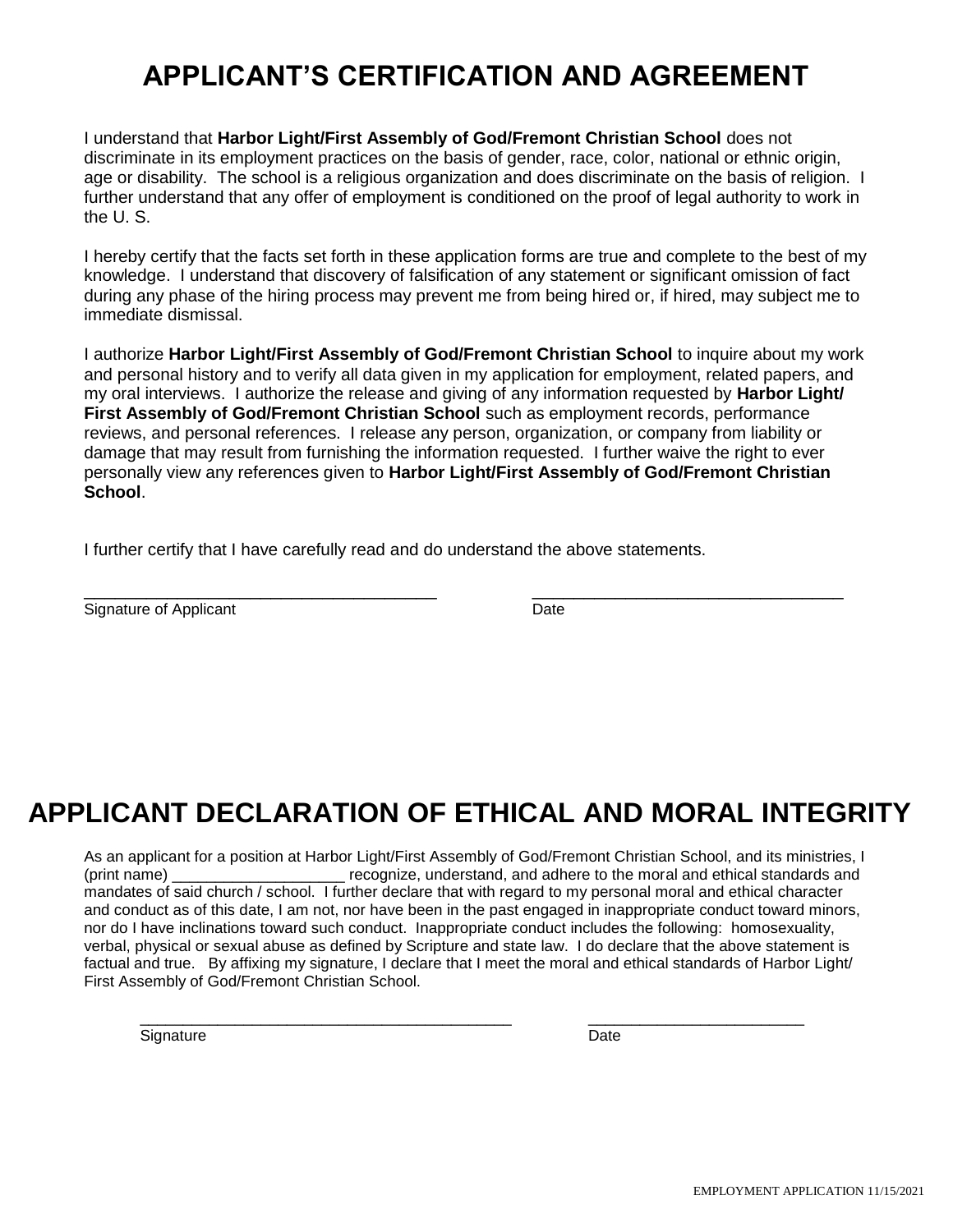# **APPLICANT'S CERTIFICATION AND AGREEMENT**

I understand that **Harbor Light/First Assembly of God/Fremont Christian School** does not discriminate in its employment practices on the basis of gender, race, color, national or ethnic origin, age or disability. The school is a religious organization and does discriminate on the basis of religion. I further understand that any offer of employment is conditioned on the proof of legal authority to work in the U. S.

I hereby certify that the facts set forth in these application forms are true and complete to the best of my knowledge. I understand that discovery of falsification of any statement or significant omission of fact during any phase of the hiring process may prevent me from being hired or, if hired, may subject me to immediate dismissal.

I authorize **Harbor Light/First Assembly of God/Fremont Christian School** to inquire about my work and personal history and to verify all data given in my application for employment, related papers, and my oral interviews. I authorize the release and giving of any information requested by **Harbor Light/ First Assembly of God/Fremont Christian School** such as employment records, performance reviews, and personal references. I release any person, organization, or company from liability or damage that may result from furnishing the information requested. I further waive the right to ever personally view any references given to **Harbor Light/First Assembly of God/Fremont Christian School**.

I further certify that I have carefully read and do understand the above statements.

| Signature of<br><b>ADDIT</b><br>- - | ⊿ате |  |
|-------------------------------------|------|--|

# **APPLICANT DECLARATION OF ETHICAL AND MORAL INTEGRITY**

As an applicant for a position at Harbor Light/First Assembly of God/Fremont Christian School, and its ministries, I (print name) example and recognize, understand, and adhere to the moral and ethical standards and mandates of said church / school. I further declare that with regard to my personal moral and ethical character and conduct as of this date, I am not, nor have been in the past engaged in inappropriate conduct toward minors, nor do I have inclinations toward such conduct. Inappropriate conduct includes the following: homosexuality, verbal, physical or sexual abuse as defined by Scripture and state law. I do declare that the above statement is factual and true. By affixing my signature, I declare that I meet the moral and ethical standards of Harbor Light/ First Assembly of God/Fremont Christian School.

\_\_\_\_\_\_\_\_\_\_\_\_\_\_\_\_\_\_\_\_\_\_\_\_\_\_\_\_\_\_\_\_\_\_\_\_\_\_\_\_\_\_\_ \_\_\_\_\_\_\_\_\_\_\_\_\_\_\_\_\_\_\_\_\_\_\_\_\_

Signature Date **Date**